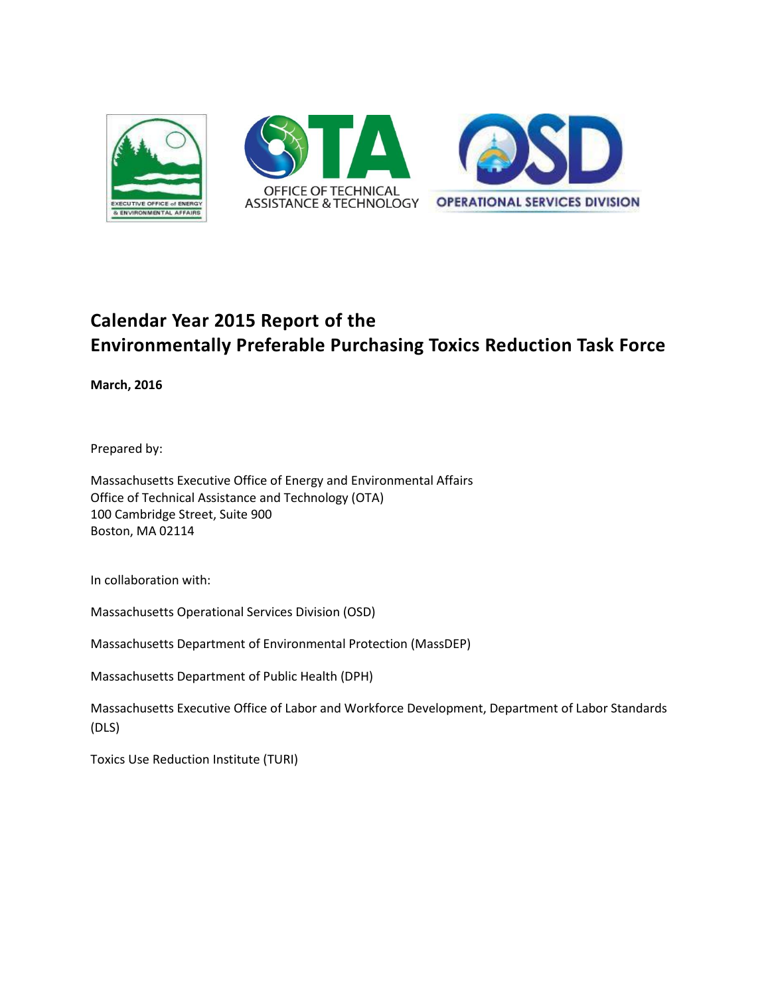

# **Calendar Year 2015 Report of the Environmentally Preferable Purchasing Toxics Reduction Task Force**

**March, 2016** 

Prepared by:

Massachusetts Executive Office of Energy and Environmental Affairs Office of Technical Assistance and Technology (OTA) 100 Cambridge Street, Suite 900 Boston, MA 02114

In collaboration with:

Massachusetts Operational Services Division (OSD)

Massachusetts Department of Environmental Protection (MassDEP)

Massachusetts Department of Public Health (DPH)

Massachusetts Executive Office of Labor and Workforce Development, Department of Labor Standards (DLS)

Toxics Use Reduction Institute (TURI)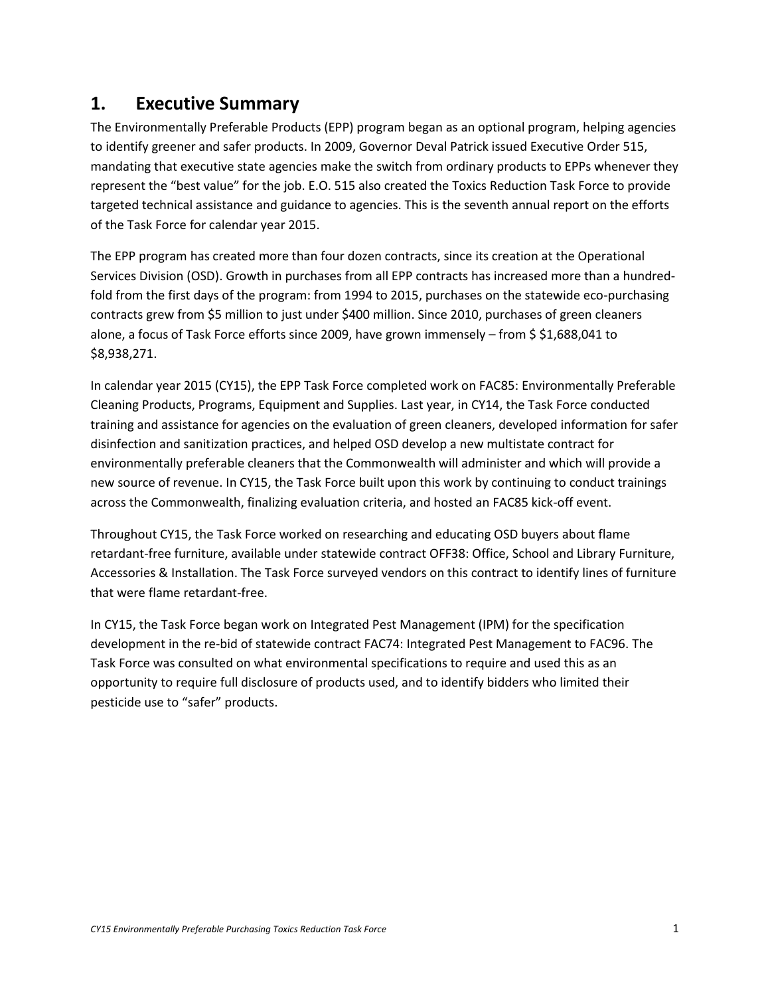## **1. Executive Summary**

The Environmentally Preferable Products (EPP) program began as an optional program, helping agencies to identify greener and safer products. In 2009, Governor Deval Patrick issued Executive Order 515, mandating that executive state agencies make the switch from ordinary products to EPPs whenever they represent the "best value" for the job. E.O. 515 also created the Toxics Reduction Task Force to provide targeted technical assistance and guidance to agencies. This is the seventh annual report on the efforts of the Task Force for calendar year 2015.

The EPP program has created more than four dozen contracts, since its creation at the Operational Services Division (OSD). Growth in purchases from all EPP contracts has increased more than a hundred‐ fold from the first days of the program: from 1994 to 2015, purchases on the statewide eco-purchasing contracts grew from \$5 million to just under \$400 million. Since 2010, purchases of green cleaners alone, a focus of Task Force efforts since 2009, have grown immensely – from \$ \$1,688,041 to \$8,938,271.

In calendar year 2015 (CY15), the EPP Task Force completed work on FAC85: Environmentally Preferable Cleaning Products, Programs, Equipment and Supplies. Last year, in CY14, the Task Force conducted training and assistance for agencies on the evaluation of green cleaners, developed information for safer disinfection and sanitization practices, and helped OSD develop a new multistate contract for environmentally preferable cleaners that the Commonwealth will administer and which will provide a new source of revenue. In CY15, the Task Force built upon this work by continuing to conduct trainings across the Commonwealth, finalizing evaluation criteria, and hosted an FAC85 kick-off event.

Throughout CY15, the Task Force worked on researching and educating OSD buyers about flame retardant-free furniture, available under statewide contract OFF38: Office, School and Library Furniture, Accessories & Installation. The Task Force surveyed vendors on this contract to identify lines of furniture that were flame retardant-free.

In CY15, the Task Force began work on Integrated Pest Management (IPM) for the specification development in the re-bid of statewide contract FAC74: Integrated Pest Management to FAC96. The Task Force was consulted on what environmental specifications to require and used this as an opportunity to require full disclosure of products used, and to identify bidders who limited their pesticide use to "safer" products.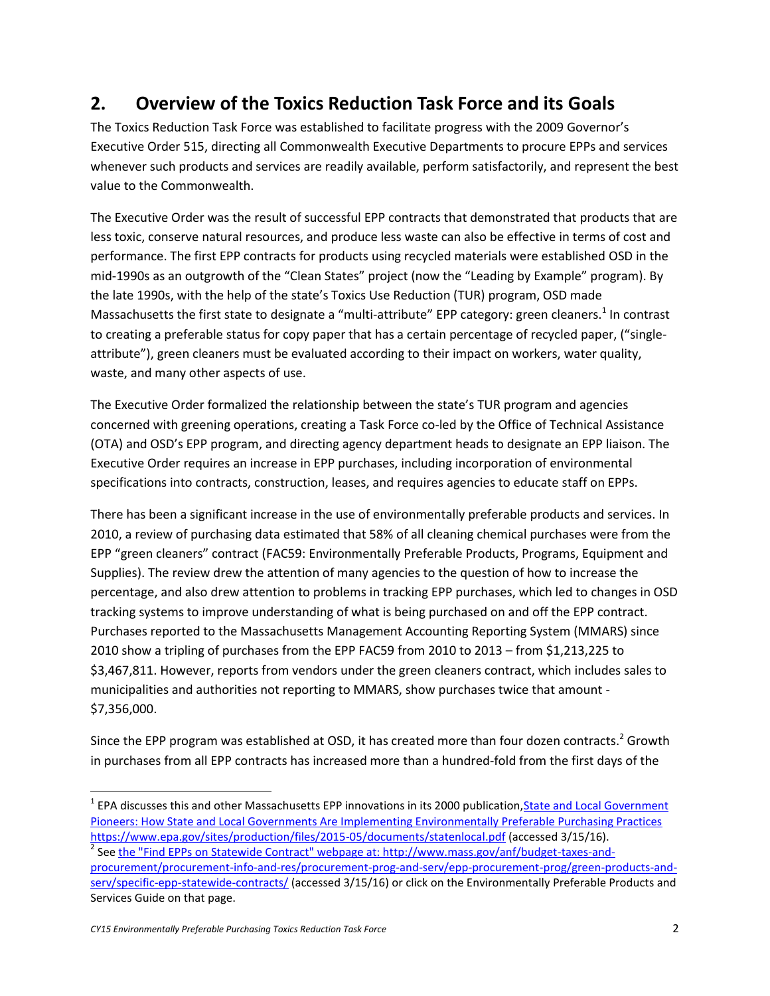## **2. Overview of the Toxics Reduction Task Force and its Goals**

The Toxics Reduction Task Force was established to facilitate progress with the 2009 Governor's Executive Order 515, directing all Commonwealth Executive Departments to procure EPPs and services whenever such products and services are readily available, perform satisfactorily, and represent the best value to the Commonwealth.

The Executive Order was the result of successful EPP contracts that demonstrated that products that are less toxic, conserve natural resources, and produce less waste can also be effective in terms of cost and performance. The first EPP contracts for products using recycled materials were established OSD in the mid‐1990s as an outgrowth of the "Clean States" project (now the "Leading by Example" program). By the late 1990s, with the help of the state's Toxics Use Reduction (TUR) program, OSD made Massachusetts the first state to designate a "multi-attribute" EPP category: green cleaners.<sup>1</sup> In contrast to creating a preferable status for copy paper that has a certain percentage of recycled paper, ("single‐ attribute"), green cleaners must be evaluated according to their impact on workers, water quality, waste, and many other aspects of use.

The Executive Order formalized the relationship between the state's TUR program and agencies concerned with greening operations, creating a Task Force co-led by the Office of Technical Assistance (OTA) and OSD's EPP program, and directing agency department heads to designate an EPP liaison. The Executive Order requires an increase in EPP purchases, including incorporation of environmental specifications into contracts, construction, leases, and requires agencies to educate staff on EPPs.

There has been a significant increase in the use of environmentally preferable products and services. In 2010, a review of purchasing data estimated that 58% of all cleaning chemical purchases were from the EPP "green cleaners" contract (FAC59: Environmentally Preferable Products, Programs, Equipment and Supplies). The review drew the attention of many agencies to the question of how to increase the percentage, and also drew attention to problems in tracking EPP purchases, which led to changes in OSD tracking systems to improve understanding of what is being purchased on and off the EPP contract. Purchases reported to the Massachusetts Management Accounting Reporting System (MMARS) since 2010 show a tripling of purchases from the EPP FAC59 from 2010 to 2013 – from \$1,213,225 to \$3,467,811. However, reports from vendors under the green cleaners contract, which includes sales to municipalities and authorities not reporting to MMARS, show purchases twice that amount ‐ \$7,356,000.

Since the EPP program was established at OSD, it has created more than four dozen contracts.<sup>2</sup> Growth in purchases from all EPP contracts has increased more than a hundred-fold from the first days of the

<sup>&</sup>lt;sup>1</sup> EPA discusses this and other Massachusetts EPP innovations in its 2000 publication, State and Local Government [Pioneers: How State and Local Governments Are Implementing Environmentally Preferable Purchasing Practices](https://www.epa.gov/sites/production/files/2015-05/documents/statenlocal.pdf)  <https://www.epa.gov/sites/production/files/2015-05/documents/statenlocal.pdf> (accessed 3/15/16).

<sup>&</sup>lt;sup>2</sup> See <u>the "Find EPPs on Statewide Contract" webpage at: http://www.mass.gov/anf/budget-taxes-and-</u> [procurement/procurement-info-and-res/procurement-prog-and-serv/epp-procurement-prog/green-products-and](http://www.mass.gov/anf/budget-taxes-and-procurement/procurement-info-and-res/procurement-prog-and-serv/epp-procurement-prog/green-products-and-serv/specific-epp-statewide-contracts/)[serv/specific-epp-statewide-contracts/](http://www.mass.gov/anf/budget-taxes-and-procurement/procurement-info-and-res/procurement-prog-and-serv/epp-procurement-prog/green-products-and-serv/specific-epp-statewide-contracts/) (accessed 3/15/16) or click on the Environmentally Preferable Products and Services Guide on that page.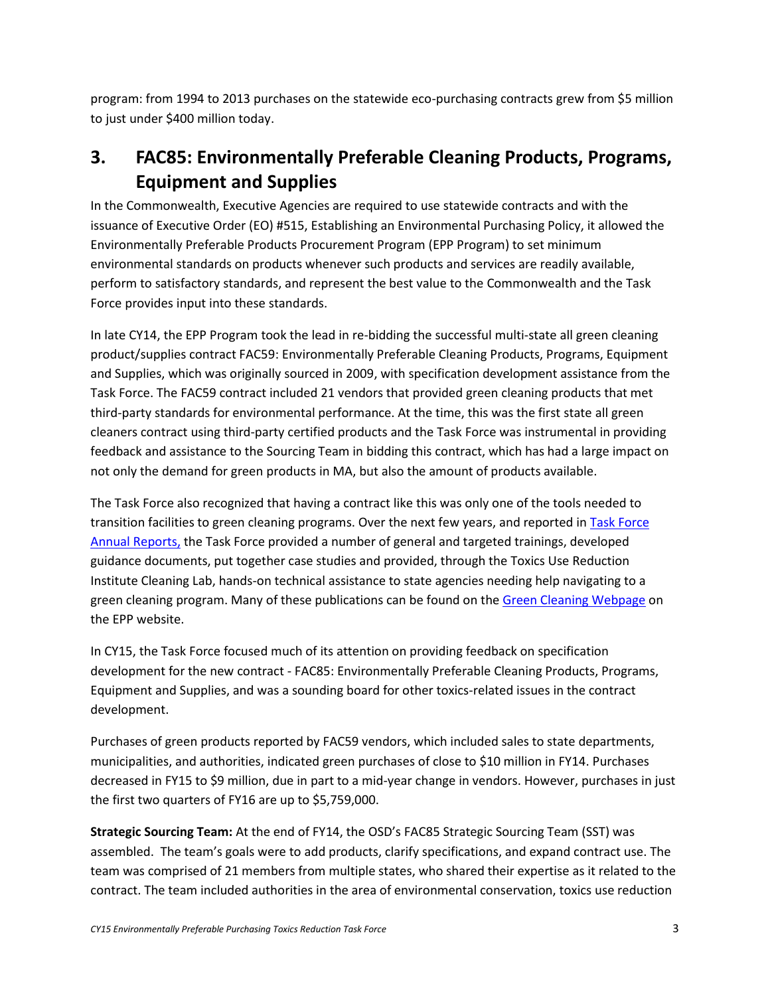program: from 1994 to 2013 purchases on the statewide eco-purchasing contracts grew from \$5 million to just under \$400 million today.

# **3. FAC85: Environmentally Preferable Cleaning Products, Programs, Equipment and Supplies**

In the Commonwealth, Executive Agencies are required to use statewide contracts and with the issuance of Executive Order (EO) #515, Establishing an Environmental Purchasing Policy, it allowed the Environmentally Preferable Products Procurement Program (EPP Program) to set minimum environmental standards on products whenever such products and services are readily available, perform to satisfactory standards, and represent the best value to the Commonwealth and the Task Force provides input into these standards.

In late CY14, the EPP Program took the lead in re-bidding the successful multi-state all green cleaning product/supplies contract FAC59: Environmentally Preferable Cleaning Products, Programs, Equipment and Supplies, which was originally sourced in 2009, with specification development assistance from the Task Force. The FAC59 contract included 21 vendors that provided green cleaning products that met third-party standards for environmental performance. At the time, this was the first state all green cleaners contract using third-party certified products and the Task Force was instrumental in providing feedback and assistance to the Sourcing Team in bidding this contract, which has had a large impact on not only the demand for green products in MA, but also the amount of products available.

The Task Force also recognized that having a contract like this was only one of the tools needed to transition facilities to green cleaning programs. Over the next few years, and reported in **Task Force** [Annual Reports,](http://www.mass.gov/anf/budget-taxes-and-procurement/procurement-info-and-res/procurement-prog-and-serv/epp-procurement-prog/epp-resource-center/publications-and-other-resources.html#epp_reports) the Task Force provided a number of general and targeted trainings, developed guidance documents, put together case studies and provided, through the Toxics Use Reduction Institute Cleaning Lab, hands-on technical assistance to state agencies needing help navigating to a green cleaning program. Many of these publications can be found on th[e Green Cleaning Webpage](http://www.mass.gov/anf/budget-taxes-and-procurement/procurement-info-and-res/procurement-prog-and-serv/epp-procurement-prog/green-products-and-serv/specific-epp-statewide-contracts/green-cleaning-products.html) on the EPP website.

In CY15, the Task Force focused much of its attention on providing feedback on specification development for the new contract - FAC85: Environmentally Preferable Cleaning Products, Programs, Equipment and Supplies, and was a sounding board for other toxics-related issues in the contract development.

Purchases of green products reported by FAC59 vendors, which included sales to state departments, municipalities, and authorities, indicated green purchases of close to \$10 million in FY14. Purchases decreased in FY15 to \$9 million, due in part to a mid-year change in vendors. However, purchases in just the first two quarters of FY16 are up to \$5,759,000.

**Strategic Sourcing Team:** At the end of FY14, the OSD's FAC85 Strategic Sourcing Team (SST) was assembled. The team's goals were to add products, clarify specifications, and expand contract use. The team was comprised of 21 members from multiple states, who shared their expertise as it related to the contract. The team included authorities in the area of environmental conservation, toxics use reduction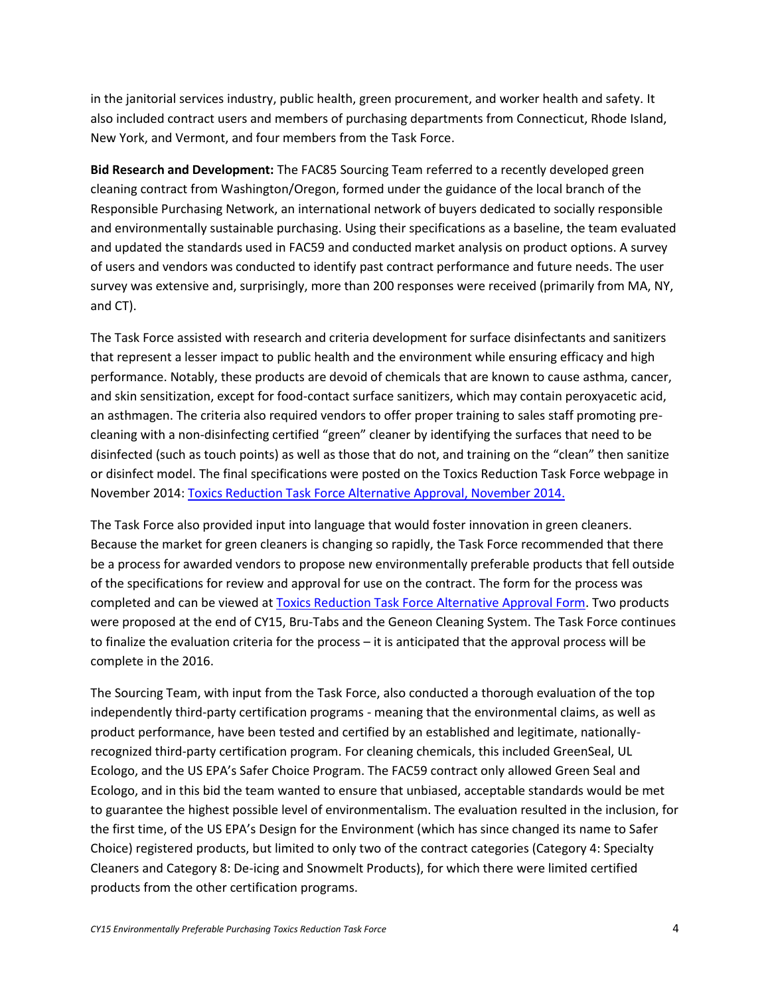in the janitorial services industry, public health, green procurement, and worker health and safety. It also included contract users and members of purchasing departments from Connecticut, Rhode Island, New York, and Vermont, and four members from the Task Force.

**Bid Research and Development:** The FAC85 Sourcing Team referred to a recently developed green cleaning contract from Washington/Oregon, formed under the guidance of the local branch of the Responsible Purchasing Network, an international network of buyers dedicated to socially responsible and environmentally sustainable purchasing. Using their specifications as a baseline, the team evaluated and updated the standards used in FAC59 and conducted market analysis on product options. A survey of users and vendors was conducted to identify past contract performance and future needs. The user survey was extensive and, surprisingly, more than 200 responses were received (primarily from MA, NY, and CT).

The Task Force assisted with research and criteria development for surface disinfectants and sanitizers that represent a lesser impact to public health and the environment while ensuring efficacy and high performance. Notably, these products are devoid of chemicals that are known to cause asthma, cancer, and skin sensitization, except for food-contact surface sanitizers, which may contain peroxyacetic acid, an asthmagen. The criteria also required vendors to offer proper training to sales staff promoting precleaning with a non-disinfecting certified "green" cleaner by identifying the surfaces that need to be disinfected (such as touch points) as well as those that do not, and training on the "clean" then sanitize or disinfect model. The final specifications were posted on the Toxics Reduction Task Force webpage in November 2014[: Toxics Reduction Task Force Alternative Approval, November 2014.](http://www.mass.gov/anf/docs/osd/epp/toxics-reduction-task-force-alternative-approval-nov-2014.docx) 

The Task Force also provided input into language that would foster innovation in green cleaners. Because the market for green cleaners is changing so rapidly, the Task Force recommended that there be a process for awarded vendors to propose new environmentally preferable products that fell outside of the specifications for review and approval for use on the contract. The form for the process was completed and can be viewed a[t Toxics Reduction Task Force Alternative Approval Form.](http://www.mass.gov/anf/docs/osd/epp/trtf-alternative-approval-10-9-15.docx) Two products were proposed at the end of CY15, Bru-Tabs and the Geneon Cleaning System. The Task Force continues to finalize the evaluation criteria for the process – it is anticipated that the approval process will be complete in the 2016.

The Sourcing Team, with input from the Task Force, also conducted a thorough evaluation of the top independently third-party certification programs - meaning that the environmental claims, as well as product performance, have been tested and certified by an established and legitimate, nationallyrecognized third-party certification program. For cleaning chemicals, this included GreenSeal, UL Ecologo, and the US EPA's Safer Choice Program. The FAC59 contract only allowed Green Seal and Ecologo, and in this bid the team wanted to ensure that unbiased, acceptable standards would be met to guarantee the highest possible level of environmentalism. The evaluation resulted in the inclusion, for the first time, of the US EPA's Design for the Environment (which has since changed its name to Safer Choice) registered products, but limited to only two of the contract categories (Category 4: Specialty Cleaners and Category 8: De-icing and Snowmelt Products), for which there were limited certified products from the other certification programs.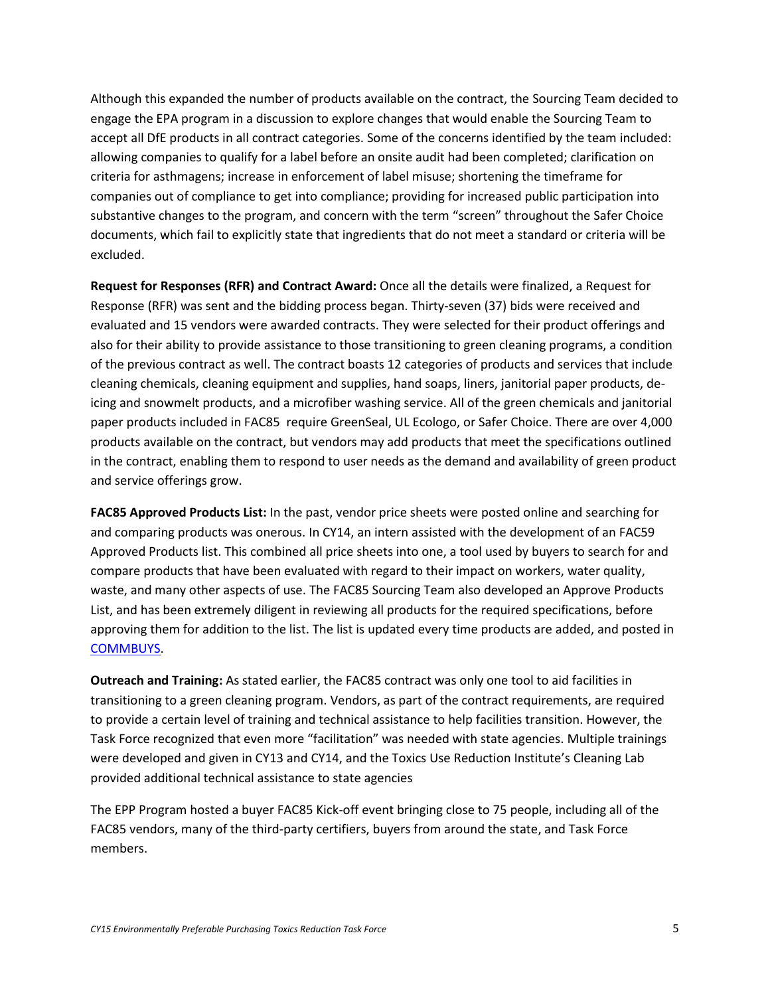Although this expanded the number of products available on the contract, the Sourcing Team decided to engage the EPA program in a discussion to explore changes that would enable the Sourcing Team to accept all DfE products in all contract categories. Some of the concerns identified by the team included: allowing companies to qualify for a label before an onsite audit had been completed; clarification on criteria for asthmagens; increase in enforcement of label misuse; shortening the timeframe for companies out of compliance to get into compliance; providing for increased public participation into substantive changes to the program, and concern with the term "screen" throughout the Safer Choice documents, which fail to explicitly state that ingredients that do not meet a standard or criteria will be excluded.

**Request for Responses (RFR) and Contract Award:** Once all the details were finalized, a Request for Response (RFR) was sent and the bidding process began. Thirty-seven (37) bids were received and evaluated and 15 vendors were awarded contracts. They were selected for their product offerings and also for their ability to provide assistance to those transitioning to green cleaning programs, a condition of the previous contract as well. The contract boasts 12 categories of products and services that include cleaning chemicals, cleaning equipment and supplies, hand soaps, liners, janitorial paper products, deicing and snowmelt products, and a microfiber washing service. All of the green chemicals and janitorial paper products included in FAC85 require GreenSeal, UL Ecologo, or Safer Choice. There are over 4,000 products available on the contract, but vendors may add products that meet the specifications outlined in the contract, enabling them to respond to user needs as the demand and availability of green product and service offerings grow.

**FAC85 Approved Products List:** In the past, vendor price sheets were posted online and searching for and comparing products was onerous. In CY14, an intern assisted with the development of an FAC59 Approved Products list. This combined all price sheets into one, a tool used by buyers to search for and compare products that have been evaluated with regard to their impact on workers, water quality, waste, and many other aspects of use. The FAC85 Sourcing Team also developed an Approve Products List, and has been extremely diligent in reviewing all products for the required specifications, before approving them for addition to the list. The list is updated every time products are added, and posted in [COMMBUYS.](https://www.commbuys.com/bso/external/purchaseorder/poSummary.sdo?docId=PO-15-1080-OSD01-OSD10-00000003619&releaseNbr=0&parentUrl=contract)

**Outreach and Training:** As stated earlier, the FAC85 contract was only one tool to aid facilities in transitioning to a green cleaning program. Vendors, as part of the contract requirements, are required to provide a certain level of training and technical assistance to help facilities transition. However, the Task Force recognized that even more "facilitation" was needed with state agencies. Multiple trainings were developed and given in CY13 and CY14, and the Toxics Use Reduction Institute's Cleaning Lab provided additional technical assistance to state agencies

The EPP Program hosted a buyer FAC85 Kick-off event bringing close to 75 people, including all of the FAC85 vendors, many of the third-party certifiers, buyers from around the state, and Task Force members.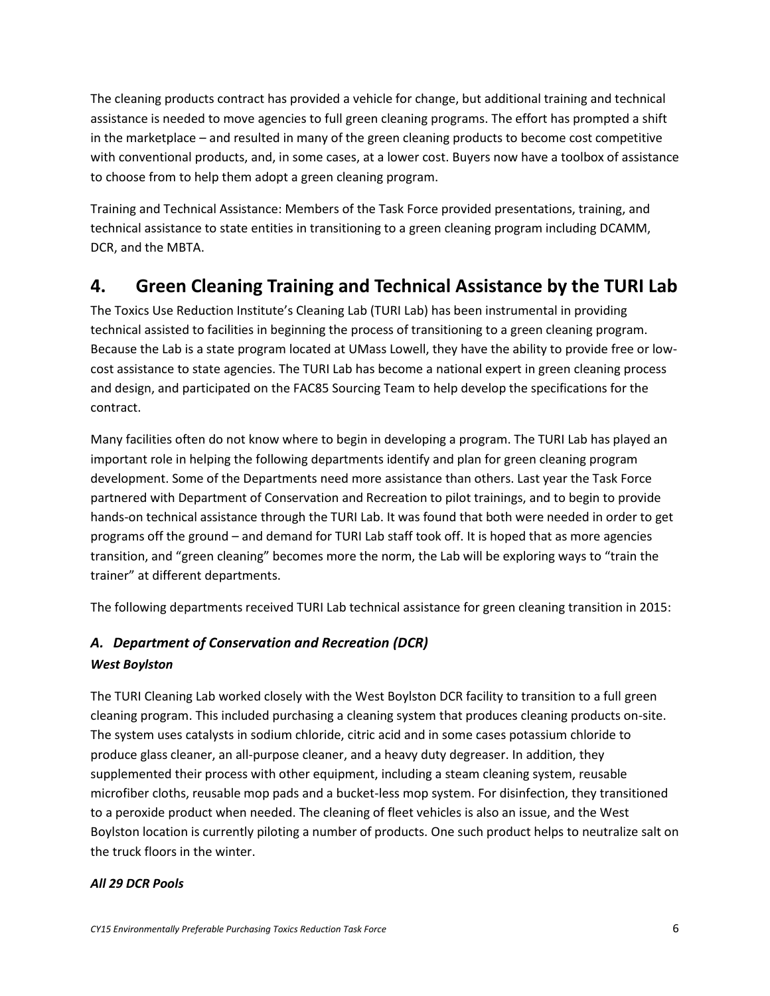The cleaning products contract has provided a vehicle for change, but additional training and technical assistance is needed to move agencies to full green cleaning programs. The effort has prompted a shift in the marketplace – and resulted in many of the green cleaning products to become cost competitive with conventional products, and, in some cases, at a lower cost. Buyers now have a toolbox of assistance to choose from to help them adopt a green cleaning program.

Training and Technical Assistance: Members of the Task Force provided presentations, training, and technical assistance to state entities in transitioning to a green cleaning program including DCAMM, DCR, and the MBTA.

## **4. Green Cleaning Training and Technical Assistance by the TURI Lab**

The Toxics Use Reduction Institute's Cleaning Lab (TURI Lab) has been instrumental in providing technical assisted to facilities in beginning the process of transitioning to a green cleaning program. Because the Lab is a state program located at UMass Lowell, they have the ability to provide free or lowcost assistance to state agencies. The TURI Lab has become a national expert in green cleaning process and design, and participated on the FAC85 Sourcing Team to help develop the specifications for the contract.

Many facilities often do not know where to begin in developing a program. The TURI Lab has played an important role in helping the following departments identify and plan for green cleaning program development. Some of the Departments need more assistance than others. Last year the Task Force partnered with Department of Conservation and Recreation to pilot trainings, and to begin to provide hands-on technical assistance through the TURI Lab. It was found that both were needed in order to get programs off the ground – and demand for TURI Lab staff took off. It is hoped that as more agencies transition, and "green cleaning" becomes more the norm, the Lab will be exploring ways to "train the trainer" at different departments.

The following departments received TURI Lab technical assistance for green cleaning transition in 2015:

## *A. Department of Conservation and Recreation (DCR) West Boylston*

The TURI Cleaning Lab worked closely with the West Boylston DCR facility to transition to a full green cleaning program. This included purchasing a cleaning system that produces cleaning products on-site. The system uses catalysts in sodium chloride, citric acid and in some cases potassium chloride to produce glass cleaner, an all-purpose cleaner, and a heavy duty degreaser. In addition, they supplemented their process with other equipment, including a steam cleaning system, reusable microfiber cloths, reusable mop pads and a bucket-less mop system. For disinfection, they transitioned to a peroxide product when needed. The cleaning of fleet vehicles is also an issue, and the West Boylston location is currently piloting a number of products. One such product helps to neutralize salt on the truck floors in the winter.

### *All 29 DCR Pools*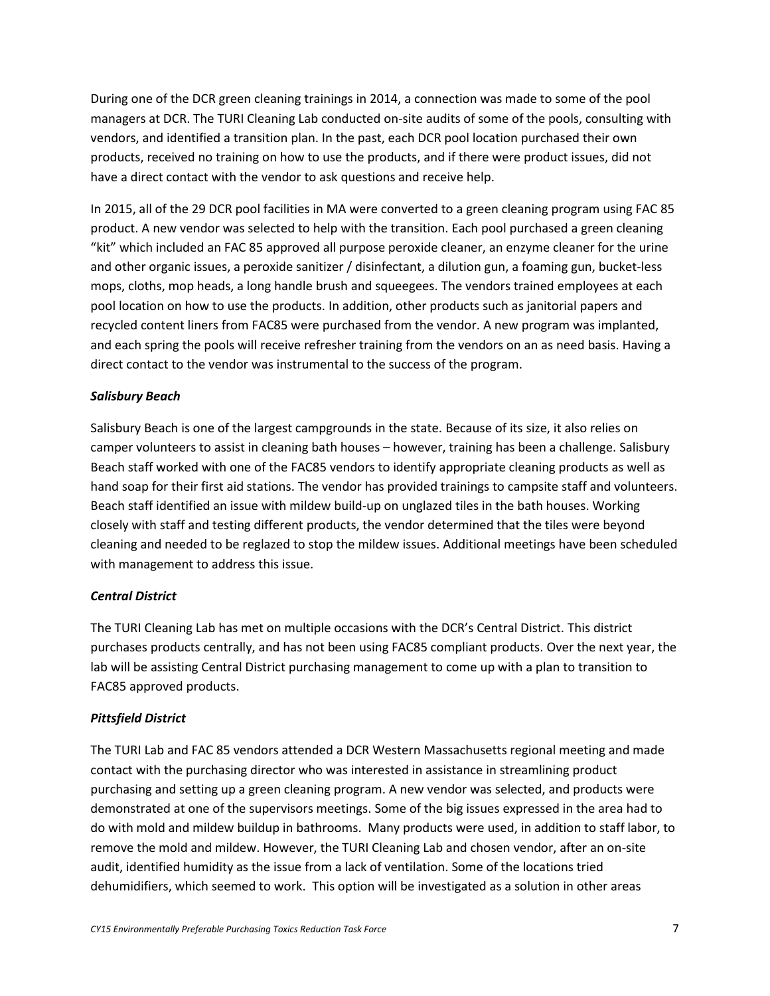During one of the DCR green cleaning trainings in 2014, a connection was made to some of the pool managers at DCR. The TURI Cleaning Lab conducted on-site audits of some of the pools, consulting with vendors, and identified a transition plan. In the past, each DCR pool location purchased their own products, received no training on how to use the products, and if there were product issues, did not have a direct contact with the vendor to ask questions and receive help.

In 2015, all of the 29 DCR pool facilities in MA were converted to a green cleaning program using FAC 85 product. A new vendor was selected to help with the transition. Each pool purchased a green cleaning "kit" which included an FAC 85 approved all purpose peroxide cleaner, an enzyme cleaner for the urine and other organic issues, a peroxide sanitizer / disinfectant, a dilution gun, a foaming gun, bucket-less mops, cloths, mop heads, a long handle brush and squeegees. The vendors trained employees at each pool location on how to use the products. In addition, other products such as janitorial papers and recycled content liners from FAC85 were purchased from the vendor. A new program was implanted, and each spring the pools will receive refresher training from the vendors on an as need basis. Having a direct contact to the vendor was instrumental to the success of the program.

### *Salisbury Beach*

Salisbury Beach is one of the largest campgrounds in the state. Because of its size, it also relies on camper volunteers to assist in cleaning bath houses – however, training has been a challenge. Salisbury Beach staff worked with one of the FAC85 vendors to identify appropriate cleaning products as well as hand soap for their first aid stations. The vendor has provided trainings to campsite staff and volunteers. Beach staff identified an issue with mildew build-up on unglazed tiles in the bath houses. Working closely with staff and testing different products, the vendor determined that the tiles were beyond cleaning and needed to be reglazed to stop the mildew issues. Additional meetings have been scheduled with management to address this issue.

### *Central District*

The TURI Cleaning Lab has met on multiple occasions with the DCR's Central District. This district purchases products centrally, and has not been using FAC85 compliant products. Over the next year, the lab will be assisting Central District purchasing management to come up with a plan to transition to FAC85 approved products.

### *Pittsfield District*

The TURI Lab and FAC 85 vendors attended a DCR Western Massachusetts regional meeting and made contact with the purchasing director who was interested in assistance in streamlining product purchasing and setting up a green cleaning program. A new vendor was selected, and products were demonstrated at one of the supervisors meetings. Some of the big issues expressed in the area had to do with mold and mildew buildup in bathrooms. Many products were used, in addition to staff labor, to remove the mold and mildew. However, the TURI Cleaning Lab and chosen vendor, after an on-site audit, identified humidity as the issue from a lack of ventilation. Some of the locations tried dehumidifiers, which seemed to work. This option will be investigated as a solution in other areas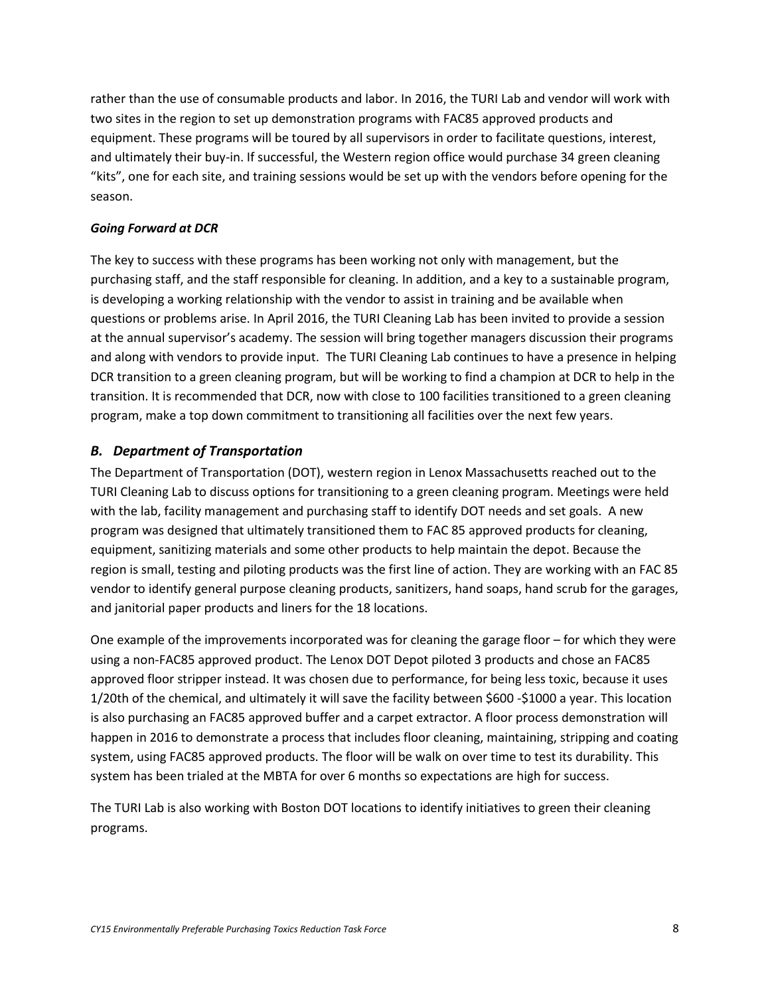rather than the use of consumable products and labor. In 2016, the TURI Lab and vendor will work with two sites in the region to set up demonstration programs with FAC85 approved products and equipment. These programs will be toured by all supervisors in order to facilitate questions, interest, and ultimately their buy-in. If successful, the Western region office would purchase 34 green cleaning "kits", one for each site, and training sessions would be set up with the vendors before opening for the season.

### *Going Forward at DCR*

The key to success with these programs has been working not only with management, but the purchasing staff, and the staff responsible for cleaning. In addition, and a key to a sustainable program, is developing a working relationship with the vendor to assist in training and be available when questions or problems arise. In April 2016, the TURI Cleaning Lab has been invited to provide a session at the annual supervisor's academy. The session will bring together managers discussion their programs and along with vendors to provide input. The TURI Cleaning Lab continues to have a presence in helping DCR transition to a green cleaning program, but will be working to find a champion at DCR to help in the transition. It is recommended that DCR, now with close to 100 facilities transitioned to a green cleaning program, make a top down commitment to transitioning all facilities over the next few years.

### *B. Department of Transportation*

The Department of Transportation (DOT), western region in Lenox Massachusetts reached out to the TURI Cleaning Lab to discuss options for transitioning to a green cleaning program. Meetings were held with the lab, facility management and purchasing staff to identify DOT needs and set goals. A new program was designed that ultimately transitioned them to FAC 85 approved products for cleaning, equipment, sanitizing materials and some other products to help maintain the depot. Because the region is small, testing and piloting products was the first line of action. They are working with an FAC 85 vendor to identify general purpose cleaning products, sanitizers, hand soaps, hand scrub for the garages, and janitorial paper products and liners for the 18 locations.

One example of the improvements incorporated was for cleaning the garage floor – for which they were using a non-FAC85 approved product. The Lenox DOT Depot piloted 3 products and chose an FAC85 approved floor stripper instead. It was chosen due to performance, for being less toxic, because it uses 1/20th of the chemical, and ultimately it will save the facility between \$600 -\$1000 a year. This location is also purchasing an FAC85 approved buffer and a carpet extractor. A floor process demonstration will happen in 2016 to demonstrate a process that includes floor cleaning, maintaining, stripping and coating system, using FAC85 approved products. The floor will be walk on over time to test its durability. This system has been trialed at the MBTA for over 6 months so expectations are high for success.

The TURI Lab is also working with Boston DOT locations to identify initiatives to green their cleaning programs.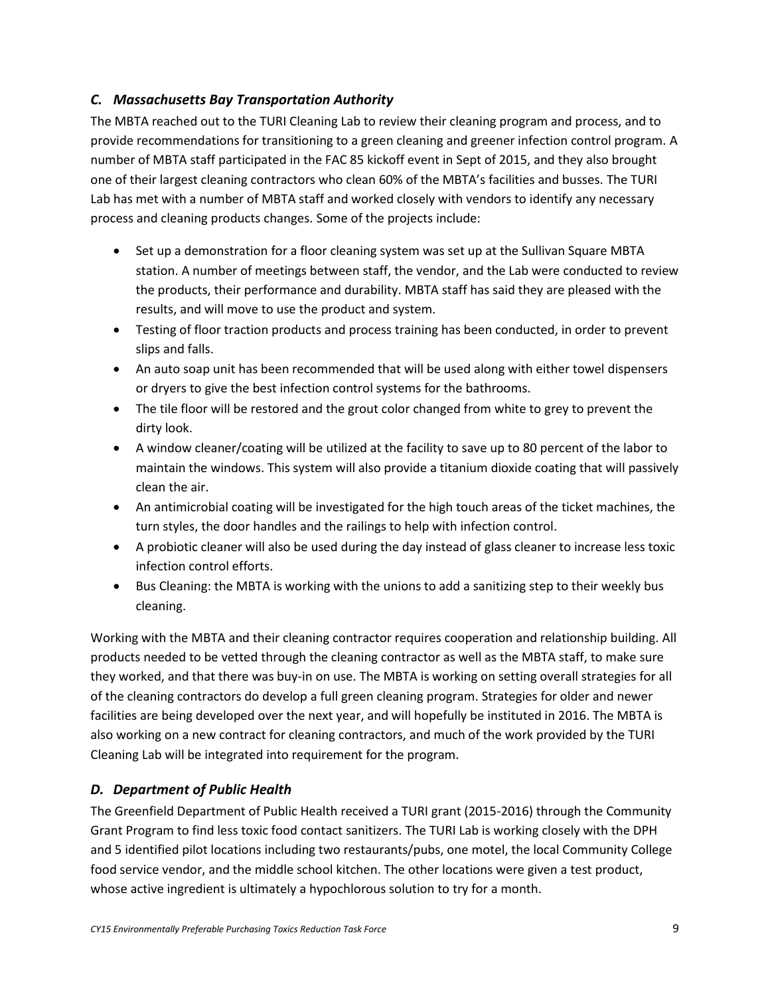## *C. Massachusetts Bay Transportation Authority*

The MBTA reached out to the TURI Cleaning Lab to review their cleaning program and process, and to provide recommendations for transitioning to a green cleaning and greener infection control program. A number of MBTA staff participated in the FAC 85 kickoff event in Sept of 2015, and they also brought one of their largest cleaning contractors who clean 60% of the MBTA's facilities and busses. The TURI Lab has met with a number of MBTA staff and worked closely with vendors to identify any necessary process and cleaning products changes. Some of the projects include:

- Set up a demonstration for a floor cleaning system was set up at the Sullivan Square MBTA station. A number of meetings between staff, the vendor, and the Lab were conducted to review the products, their performance and durability. MBTA staff has said they are pleased with the results, and will move to use the product and system.
- Testing of floor traction products and process training has been conducted, in order to prevent slips and falls.
- An auto soap unit has been recommended that will be used along with either towel dispensers or dryers to give the best infection control systems for the bathrooms.
- The tile floor will be restored and the grout color changed from white to grey to prevent the dirty look.
- A window cleaner/coating will be utilized at the facility to save up to 80 percent of the labor to maintain the windows. This system will also provide a titanium dioxide coating that will passively clean the air.
- An antimicrobial coating will be investigated for the high touch areas of the ticket machines, the turn styles, the door handles and the railings to help with infection control.
- A probiotic cleaner will also be used during the day instead of glass cleaner to increase less toxic infection control efforts.
- Bus Cleaning: the MBTA is working with the unions to add a sanitizing step to their weekly bus cleaning.

Working with the MBTA and their cleaning contractor requires cooperation and relationship building. All products needed to be vetted through the cleaning contractor as well as the MBTA staff, to make sure they worked, and that there was buy-in on use. The MBTA is working on setting overall strategies for all of the cleaning contractors do develop a full green cleaning program. Strategies for older and newer facilities are being developed over the next year, and will hopefully be instituted in 2016. The MBTA is also working on a new contract for cleaning contractors, and much of the work provided by the TURI Cleaning Lab will be integrated into requirement for the program.

## *D. Department of Public Health*

The Greenfield Department of Public Health received a TURI grant (2015-2016) through the Community Grant Program to find less toxic food contact sanitizers. The TURI Lab is working closely with the DPH and 5 identified pilot locations including two restaurants/pubs, one motel, the local Community College food service vendor, and the middle school kitchen. The other locations were given a test product, whose active ingredient is ultimately a hypochlorous solution to try for a month.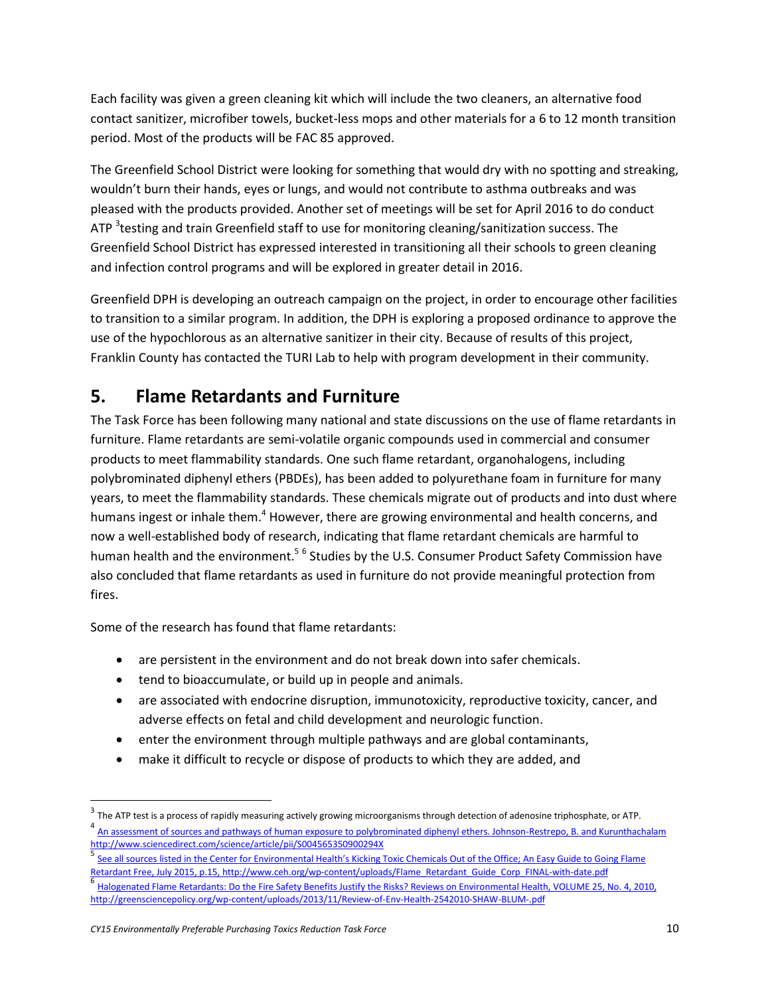Each facility was given a green cleaning kit which will include the two cleaners, an alternative food contact sanitizer, microfiber towels, bucket-less mops and other materials for a 6 to 12 month transition period. Most of the products will be FAC 85 approved.

The Greenfield School District were looking for something that would dry with no spotting and streaking, wouldn't burn their hands, eyes or lungs, and would not contribute to asthma outbreaks and was pleased with the products provided. Another set of meetings will be set for April 2016 to do conduct ATP <sup>3</sup>testing and train Greenfield staff to use for monitoring cleaning/sanitization success. The Greenfield School District has expressed interested in transitioning all their schools to green cleaning and infection control programs and will be explored in greater detail in 2016.

Greenfield DPH is developing an outreach campaign on the project, in order to encourage other facilities to transition to a similar program. In addition, the DPH is exploring a proposed ordinance to approve the use of the hypochlorous as an alternative sanitizer in their city. Because of results of this project, Franklin County has contacted the TURI Lab to help with program development in their community.

## **5. Flame Retardants and Furniture**

The Task Force has been following many national and state discussions on the use of flame retardants in furniture. Flame retardants are semi-volatile organic compounds used in commercial and consumer products to meet flammability standards. One such flame retardant, organohalogens, including polybrominated diphenyl ethers (PBDEs), has been added to polyurethane foam in furniture for many years, to meet the flammability standards. These chemicals migrate out of products and into dust where humans ingest or inhale them.<sup>4</sup> However, there are growing environmental and health concerns, and now a well-established body of research, indicating that flame retardant chemicals are harmful to human health and the environment.<sup>56</sup> Studies by the U.S. Consumer Product Safety Commission have also concluded that flame retardants as used in furniture do not provide meaningful protection from fires.

Some of the research has found that flame retardants:

- are persistent in the environment and do not break down into safer chemicals.
- tend to bioaccumulate, or build up in people and animals.
- are associated with endocrine disruption, immunotoxicity, reproductive toxicity, cancer, and adverse effects on fetal and child development and neurologic function.
- enter the environment through multiple pathways and are global contaminants,
- make it difficult to recycle or dispose of products to which they are added, and

 $^3$  The ATP test is a process of rapidly measuring actively growing microorganisms through detection of adenosine triphosphate, or ATP.<br>4. A second of the second or the second or the second or a second processed distance [An assessment of sources and pathways of human exposure to polybrominated diphenyl ethers. Johnson-Restrepo, B. and Kurunthachalam](http://www.sciencedirect.com/science/article/pii/S004565350900294X)  <http://www.sciencedirect.com/science/article/pii/S004565350900294X><br>5. See all essures listed in the Canter for Farisonmental Uselth's Kislinai

See all sources listed in the Center for Environmental Health's [Kicking Toxic Chemicals Out of the Office; An Easy Guide to Going Flame](http://www.ceh.org/wp-content/uploads/Flame_Retardant_Guide_Corp_FINAL-with-date.pdf)  [Retardant Free, July 2015, p.15, http://www.ceh.org/wp-content/uploads/Flame\\_Retardant\\_Guide\\_Corp\\_FINAL-with-date.pdf](http://www.ceh.org/wp-content/uploads/Flame_Retardant_Guide_Corp_FINAL-with-date.pdf) 6 [Halogenated Flame Retardants: Do the Fire Safety Benefits Justify the Risks? Reviews on Environmental Health, VOLUME 25, No. 4, 2010,](http://greensciencepolicy.org/wp-content/uploads/2013/11/Review-of-Env-Health-2542010-SHAW-BLUM-.pdf)  <http://greensciencepolicy.org/wp-content/uploads/2013/11/Review-of-Env-Health-2542010-SHAW-BLUM-.pdf>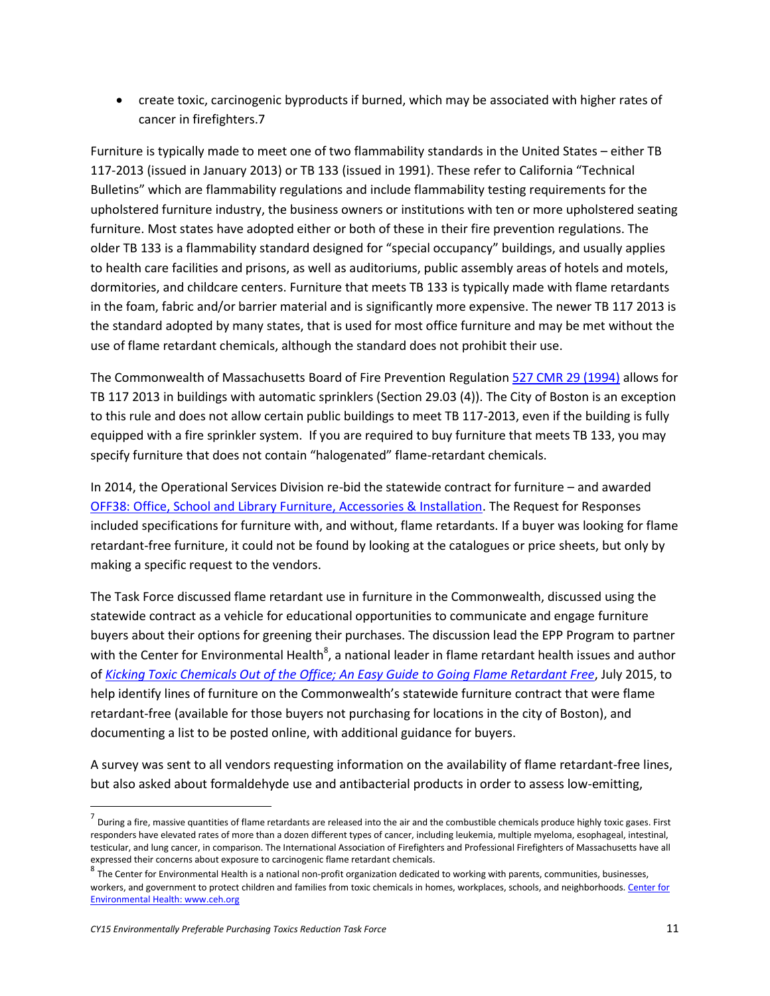create toxic, carcinogenic byproducts if burned, which may be associated with higher rates of cancer in firefighters.7

Furniture is typically made to meet one of two flammability standards in the United States – either TB 117-2013 (issued in January 2013) or TB 133 (issued in 1991). These refer to California "Technical Bulletins" which are flammability regulations and include flammability testing requirements for the upholstered furniture industry, the business owners or institutions with ten or more upholstered seating furniture. Most states have adopted either or both of these in their fire prevention regulations. The older TB 133 is a flammability standard designed for "special occupancy" buildings, and usually applies to health care facilities and prisons, as well as auditoriums, public assembly areas of hotels and motels, dormitories, and childcare centers. Furniture that meets TB 133 is typically made with flame retardants in the foam, fabric and/or barrier material and is significantly more expensive. The newer TB 117 2013 is the standard adopted by many states, that is used for most office furniture and may be met without the use of flame retardant chemicals, although the standard does not prohibit their use.

The Commonwealth of Massachusetts Board of Fire Prevention Regulatio[n 527 CMR 29 \(1994\)](http://www.mass.gov/eopss/docs/dfs/osfm/cmr/cmr-secured/527029.pdf) allows for TB 117 2013 in buildings with automatic sprinklers (Section 29.03 (4)). The City of Boston is an exception to this rule and does not allow certain public buildings to meet TB 117-2013, even if the building is fully equipped with a fire sprinkler system. If you are required to buy furniture that meets TB 133, you may specify furniture that does not contain "halogenated" flame-retardant chemicals.

In 2014, the Operational Services Division re-bid the statewide contract for furniture – and awarded [OFF38: Office, School and Library Furniture, Accessories & Installation.](http://www.mass.gov/anf/docs/osd/uguide/off38.pdf) The Request for Responses included specifications for furniture with, and without, flame retardants. If a buyer was looking for flame retardant-free furniture, it could not be found by looking at the catalogues or price sheets, but only by making a specific request to the vendors.

The Task Force discussed flame retardant use in furniture in the Commonwealth, discussed using the statewide contract as a vehicle for educational opportunities to communicate and engage furniture buyers about their options for greening their purchases. The discussion lead the EPP Program to partner with the Center for Environmental Health $^8$ , a national leader in flame retardant health issues and author of *[Kicking Toxic Chemicals Out of the Office; An Easy Guide to Going Flame Retardant Free](http://www.ceh.org/wp-content/uploads/Flame_Retardant_Guide_Corp_FINAL-with-date.pdf)*, July 2015, to help identify lines of furniture on the Commonwealth's statewide furniture contract that were flame retardant-free (available for those buyers not purchasing for locations in the city of Boston), and documenting a list to be posted online, with additional guidance for buyers.

A survey was sent to all vendors requesting information on the availability of flame retardant-free lines, but also asked about formaldehyde use and antibacterial products in order to assess low-emitting,

 $\overline{a}$ 

<sup>&</sup>lt;sup>7</sup> During a fire, massive quantities of flame retardants are released into the air and the combustible chemicals produce highly toxic gases. First responders have elevated rates of more than a dozen different types of cancer, including leukemia, multiple myeloma, esophageal, intestinal, testicular, and lung cancer, in comparison. The International Association of Firefighters and Professional Firefighters of Massachusetts have all expressed their concerns about exposure to carcinogenic flame retardant chemicals.

 $^8$  The Center for Environmental Health is a national non-profit organization dedicated to working with parents, communities, businesses, workers, and government to protect children and families from toxic chemicals in homes, workplaces, schools, and neighborhoods. Center for [Environmental Health: www.ceh.org](http://www.ceh.org/)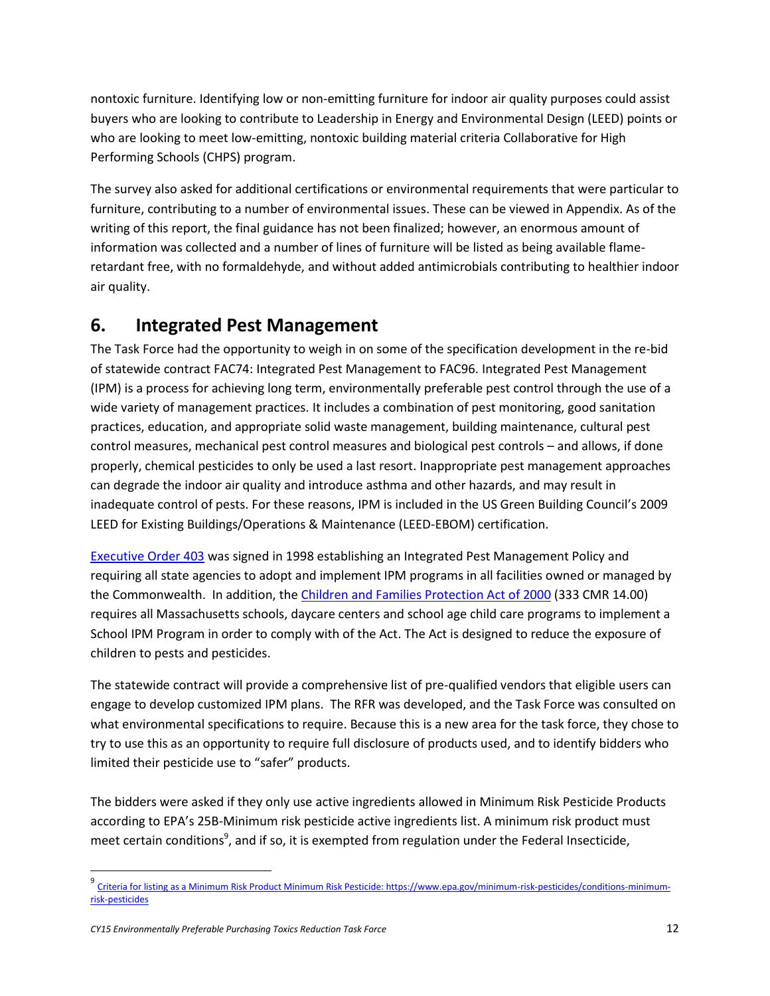nontoxic furniture. Identifying low or non-emitting furniture for indoor air quality purposes could assist buyers who are looking to contribute to Leadership in Energy and Environmental Design (LEED) points or who are looking to meet low-emitting, nontoxic building material criteria Collaborative for High Performing Schools (CHPS) program.

The survey also asked for additional certifications or environmental requirements that were particular to furniture, contributing to a number of environmental issues. These can be viewed in Appendix. As of the writing of this report, the final guidance has not been finalized; however, an enormous amount of information was collected and a number of lines of furniture will be listed as being available flameretardant free, with no formaldehyde, and without added antimicrobials contributing to healthier indoor air quality.

## **6. Integrated Pest Management**

The Task Force had the opportunity to weigh in on some of the specification development in the re-bid of statewide contract FAC74: Integrated Pest Management to FAC96. Integrated Pest Management (IPM) is a process for achieving long term, environmentally preferable pest control through the use of a wide variety of management practices. It includes a combination of pest monitoring, good sanitation practices, education, and appropriate solid waste management, building maintenance, cultural pest control measures, mechanical pest control measures and biological pest controls – and allows, if done properly, chemical pesticides to only be used a last resort. Inappropriate pest management approaches can degrade the indoor air quality and introduce asthma and other hazards, and may result in inadequate control of pests. For these reasons, IPM is included in the US Green Building Council's 2009 LEED for Existing Buildings/Operations & Maintenance (LEED-EBOM) certification.

[Executive Order 403](http://www.mass.gov/courts/docs/lawlib/eo400-499/eo403.txt) was signed in 1998 establishing an Integrated Pest Management Policy and requiring all state agencies to adopt and implement IPM programs in all facilities owned or managed by the Commonwealth. In addition, th[e Children and Families Protection Act of 2000](http://massnrc.org/ipm/schools-daycare/child-protection-act-2000/full-text.html) (333 CMR 14.00) requires all Massachusetts schools, daycare centers and school age child care programs to implement a School IPM Program in order to comply with of the Act. The Act is designed to reduce the exposure of children to pests and pesticides.

The statewide contract will provide a comprehensive list of pre-qualified vendors that eligible users can engage to develop customized IPM plans. The RFR was developed, and the Task Force was consulted on what environmental specifications to require. Because this is a new area for the task force, they chose to try to use this as an opportunity to require full disclosure of products used, and to identify bidders who limited their pesticide use to "safer" products.

The bidders were asked if they only use active ingredients allowed in Minimum Risk Pesticide Products according to EPA's 25B-Minimum risk pesticide active ingredients list. A minimum risk product must meet certain conditions<sup>9</sup>, and if so, it is exempted from regulation under the Federal Insecticide,

<sup>&</sup>lt;sup>9</sup> [Criteria for listing as a Minimum Risk Product Minimum Risk Pesticide: https://www.epa.gov/minimum-risk-pesticides/conditions-minimum](https://www.epa.gov/minimum-risk-pesticides/conditions-minimum-risk-pesticides)[risk-pesticides](https://www.epa.gov/minimum-risk-pesticides/conditions-minimum-risk-pesticides)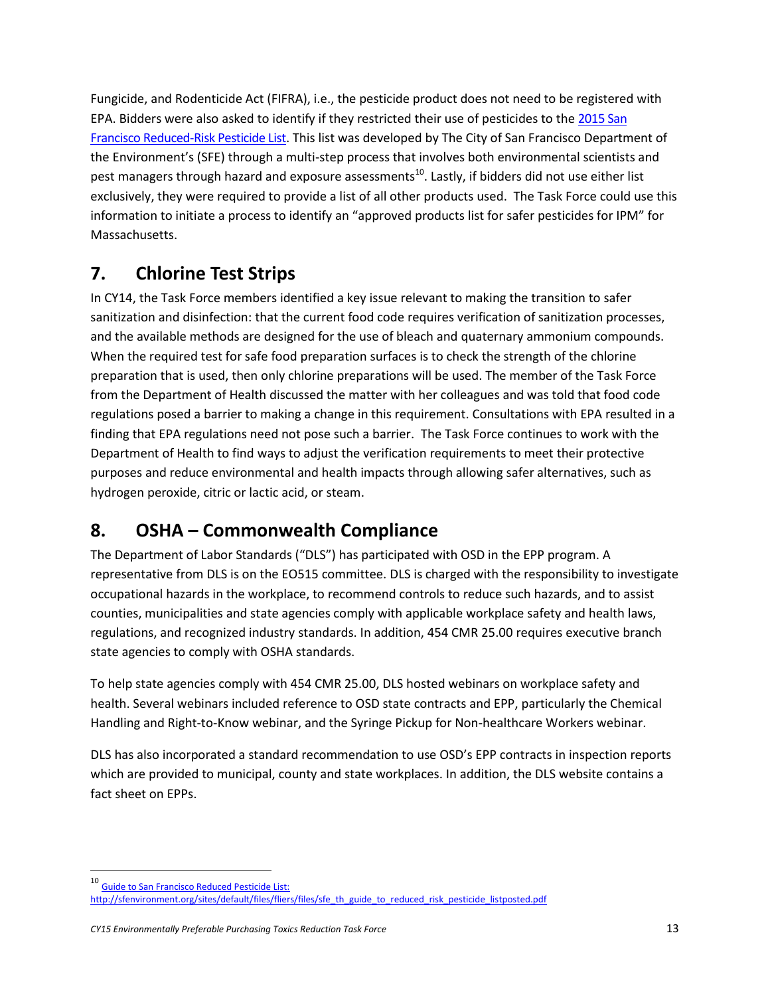Fungicide, and Rodenticide Act (FIFRA), i.e., the pesticide product does not need to be registered with EPA. Bidders were also asked to identify if they restricted their use of pesticides to th[e 2015 San](http://sfenvironment.org/download/san-francisco-2015-reduced-risk-pesticide-list-final-draft)  [Francisco Reduced-Risk Pesticide List.](http://sfenvironment.org/download/san-francisco-2015-reduced-risk-pesticide-list-final-draft) This list was developed by The City of San Francisco Department of the Environment's (SFE) through a multi-step process that involves both environmental scientists and pest managers through hazard and exposure assessments<sup>10</sup>. Lastly, if bidders did not use either list exclusively, they were required to provide a list of all other products used. The Task Force could use this information to initiate a process to identify an "approved products list for safer pesticides for IPM" for Massachusetts.

## **7. Chlorine Test Strips**

In CY14, the Task Force members identified a key issue relevant to making the transition to safer sanitization and disinfection: that the current food code requires verification of sanitization processes, and the available methods are designed for the use of bleach and quaternary ammonium compounds. When the required test for safe food preparation surfaces is to check the strength of the chlorine preparation that is used, then only chlorine preparations will be used. The member of the Task Force from the Department of Health discussed the matter with her colleagues and was told that food code regulations posed a barrier to making a change in this requirement. Consultations with EPA resulted in a finding that EPA regulations need not pose such a barrier. The Task Force continues to work with the Department of Health to find ways to adjust the verification requirements to meet their protective purposes and reduce environmental and health impacts through allowing safer alternatives, such as hydrogen peroxide, citric or lactic acid, or steam.

## **8. OSHA – Commonwealth Compliance**

The Department of Labor Standards ("DLS") has participated with OSD in the EPP program. A representative from DLS is on the EO515 committee. DLS is charged with the responsibility to investigate occupational hazards in the workplace, to recommend controls to reduce such hazards, and to assist counties, municipalities and state agencies comply with applicable workplace safety and health laws, regulations, and recognized industry standards. In addition, 454 CMR 25.00 requires executive branch state agencies to comply with OSHA standards.

To help state agencies comply with 454 CMR 25.00, DLS hosted webinars on workplace safety and health. Several webinars included reference to OSD state contracts and EPP, particularly the Chemical Handling and Right-to-Know webinar, and the Syringe Pickup for Non-healthcare Workers webinar.

DLS has also incorporated a standard recommendation to use OSD's EPP contracts in inspection reports which are provided to municipal, county and state workplaces. In addition, the DLS website contains a fact sheet on EPPs.

<sup>10</sup> Guide [to San Francisco Reduced Pesticide List:](http://sfenvironment.org/sites/default/files/fliers/files/sfe_th_guide_to_reduced_risk_pesticide_listposted.pdf) 

[http://sfenvironment.org/sites/default/files/fliers/files/sfe\\_th\\_guide\\_to\\_reduced\\_risk\\_pesticide\\_listposted.pdf](http://sfenvironment.org/sites/default/files/fliers/files/sfe_th_guide_to_reduced_risk_pesticide_listposted.pdf)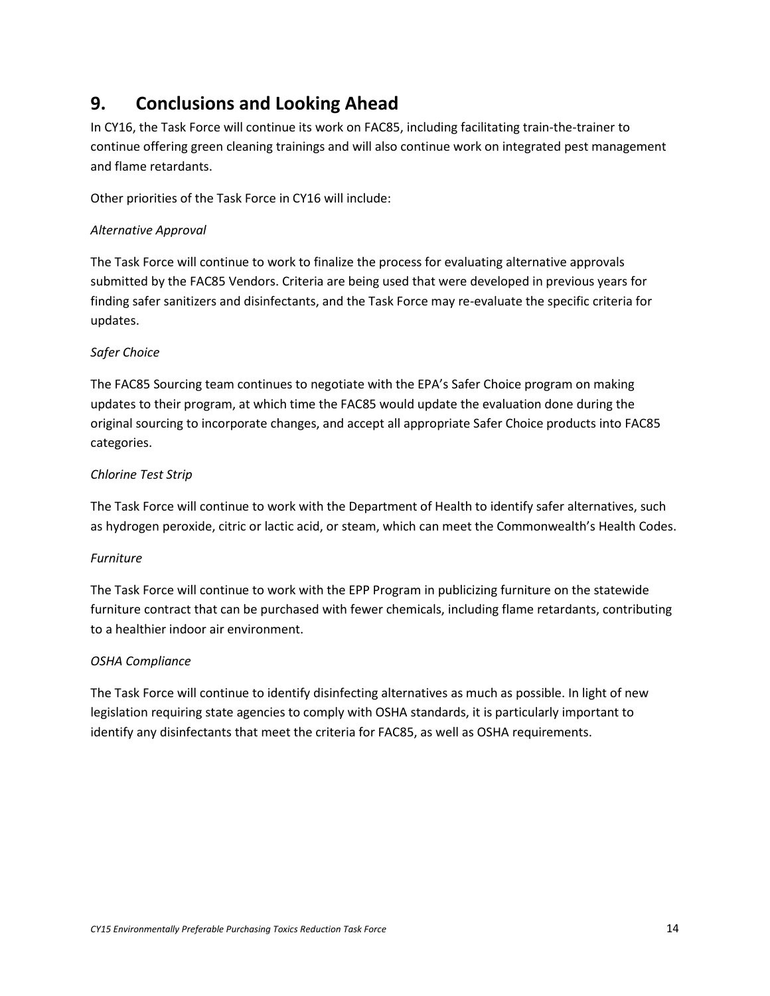## **9. Conclusions and Looking Ahead**

In CY16, the Task Force will continue its work on FAC85, including facilitating train-the-trainer to continue offering green cleaning trainings and will also continue work on integrated pest management and flame retardants.

Other priorities of the Task Force in CY16 will include:

### *Alternative Approval*

The Task Force will continue to work to finalize the process for evaluating alternative approvals submitted by the FAC85 Vendors. Criteria are being used that were developed in previous years for finding safer sanitizers and disinfectants, and the Task Force may re-evaluate the specific criteria for updates.

### *Safer Choice*

The FAC85 Sourcing team continues to negotiate with the EPA's Safer Choice program on making updates to their program, at which time the FAC85 would update the evaluation done during the original sourcing to incorporate changes, and accept all appropriate Safer Choice products into FAC85 categories.

### *Chlorine Test Strip*

The Task Force will continue to work with the Department of Health to identify safer alternatives, such as hydrogen peroxide, citric or lactic acid, or steam, which can meet the Commonwealth's Health Codes.

### *Furniture*

The Task Force will continue to work with the EPP Program in publicizing furniture on the statewide furniture contract that can be purchased with fewer chemicals, including flame retardants, contributing to a healthier indoor air environment.

### *OSHA Compliance*

The Task Force will continue to identify disinfecting alternatives as much as possible. In light of new legislation requiring state agencies to comply with OSHA standards, it is particularly important to identify any disinfectants that meet the criteria for FAC85, as well as OSHA requirements.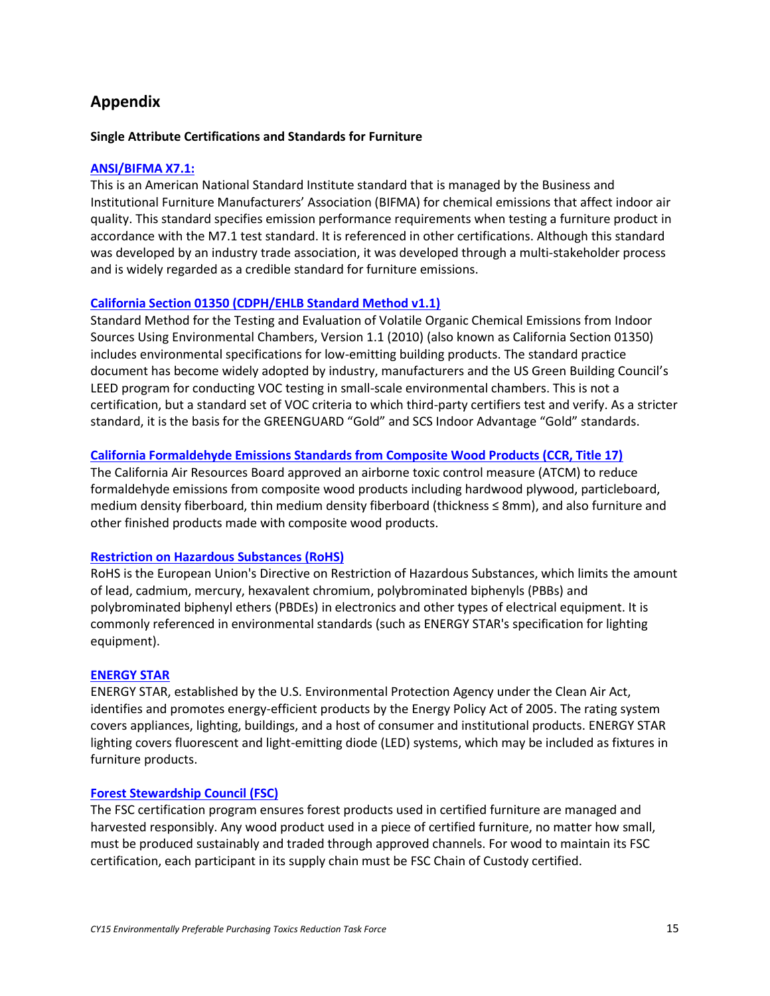## **Appendix**

#### **Single Attribute Certifications and Standards for Furniture**

#### **[ANSI/BIFMA X7.1:](http://www.bifma.org/)**

This is an American National Standard Institute standard that is managed by the Business and Institutional Furniture Manufacturers' Association (BIFMA) for chemical emissions that affect indoor air quality. This standard specifies emission performance requirements when testing a furniture product in accordance with the M7.1 test standard. It is referenced in other certifications. Although this standard was developed by an industry trade association, it was developed through a multi-stakeholder process and is widely regarded as a credible standard for furniture emissions.

#### **[California Section 01350 \(CDPH/EHLB Standard Method v1.1\)](https://www.cdph.ca.gov/programs/IAQ/Documents/cdph-iaq_standardmethod_v1_1_2010%20new1110.pdf)**

Standard Method for the Testing and Evaluation of Volatile Organic Chemical Emissions from Indoor Sources Using Environmental Chambers, Version 1.1 (2010) (also known as California Section 01350) includes environmental specifications for low-emitting building products. The standard practice document has become widely adopted by industry, manufacturers and the US Green Building Council's LEED program for conducting VOC testing in small-scale environmental chambers. This is not a certification, but a standard set of VOC criteria to which third-party certifiers test and verify. As a stricter standard, it is the basis for the GREENGUARD "Gold" and SCS Indoor Advantage "Gold" standards.

### **[California Formaldehyde Emissions Standards from Composite Wood Products \(CCR, Title 17\)](http://www.arb.ca.gov/toxics/compwood/compwood.htm)**

The California Air Resources Board approved an airborne toxic control measure (ATCM) to reduce formaldehyde emissions from composite wood products including hardwood plywood, particleboard, medium density fiberboard, thin medium density fiberboard (thickness ≤ 8mm), and also furniture and other finished products made with composite wood products.

#### **[Restriction on Hazardous Substances \(RoHS\)](http://ec.europa.eu/environment/waste/rohs_eee/index_en.htm)**

RoHS is the European Union's Directive on Restriction of Hazardous Substances, which limits the amount of lead, cadmium, mercury, hexavalent chromium, polybrominated biphenyls (PBBs) and polybrominated biphenyl ethers (PBDEs) in electronics and other types of electrical equipment. It is commonly referenced in environmental standards (such as ENERGY STAR's specification for lighting equipment).

#### **[ENERGY STAR](http://www.energystar.gov/)**

ENERGY STAR, established by the U.S. Environmental Protection Agency under the Clean Air Act, identifies and promotes energy-efficient products by the Energy Policy Act of 2005. The rating system covers appliances, lighting, buildings, and a host of consumer and institutional products. ENERGY STAR lighting covers fluorescent and light-emitting diode (LED) systems, which may be included as fixtures in furniture products.

#### **[Forest Stewardship Council \(FSC\)](https://us.fsc.org/en-us)**

The FSC certification program ensures forest products used in certified furniture are managed and harvested responsibly. Any wood product used in a piece of certified furniture, no matter how small, must be produced sustainably and traded through approved channels. For wood to maintain its FSC certification, each participant in its supply chain must be FSC Chain of Custody certified.